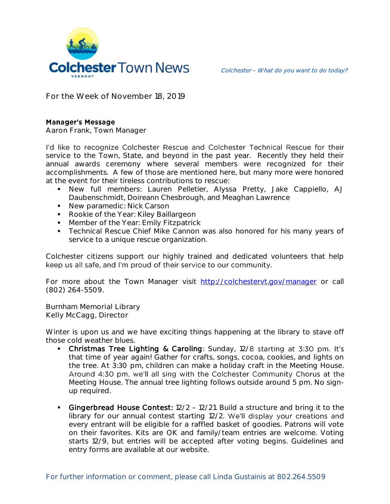

**For the Week of November 18, 2019**

## **Manager's Message**

**Aaron Frank, Town Manager**

I'd like to recognize Colchester Rescue and Colchester Technical Rescue for their service to the Town, State, and beyond in the past year. Recently they held their annual awards ceremony where several members were recognized for their accomplishments. A few of those are mentioned here, but many more were honored at the event for their tireless contributions to rescue:

- New full members: Lauren Pelletier, Alyssa Pretty, Jake Cappiello, AJ Daubenschmidt, Doireann Chesbrough, and Meaghan Lawrence
- **New paramedic: Nick Carson**
- Rookie of the Year: Kiley Baillargeon
- **Member of the Year: Emily Fitzpatrick**
- **Technical Rescue Chief Mike Cannon was also honored for his many years of** service to a unique rescue organization.

Colchester citizens support our highly trained and dedicated volunteers that help keep us all safe, and I'm proud of their service to our community.

For more about the Town Manager visit <http://colchestervt.gov/manager> or call (802) 264-5509.

**Burnham Memorial Library Kelly McCagg, Director**

Winter is upon us and we have exciting things happening at the library to stave off those cold weather blues.

- Christmas Tree Lighting & Caroling: Sunday, 12/8 starting at 3:30 pm. It's that time of year again! Gather for crafts, songs, cocoa, cookies, and lights on the tree. At 3:30 pm, children can make a holiday craft in the Meeting House. Around 4:30 pm, we'll all sing with the Colchester Community Chorus at the Meeting House. The annual tree lighting follows outside around 5 pm. No signup required.
- Gingerbread House Contest: 12/2 12/21. Build a structure and bring it to the library for our annual contest starting 12/2. We'll display your creations and every entrant will be eligible for a raffled basket of goodies. Patrons will vote on their favorites. Kits are OK and family/team entries are welcome. Voting starts 12/9, but entries will be accepted after voting begins. Guidelines and entry forms are available at our website.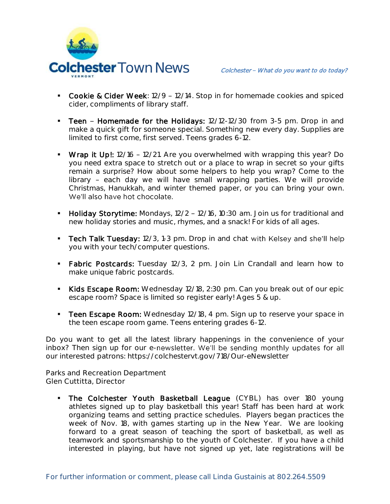

- Cookie & Cider Week: 12/9 12/14. Stop in for homemade cookies and spiced cider, compliments of library staff.
- Teen Homemade for the Holidays: 12/12-12/30 from 3-5 pm. Drop in and make a quick gift for someone special. Something new every day. Supplies are limited to first come, first served. Teens grades 6-12.
- Wrap it Up!: 12/16 12/21. Are you overwhelmed with wrapping this year? Do you need extra space to stretch out or a place to wrap in secret so your gifts remain a surprise? How about some helpers to help you wrap? Come to the library - each day we will have small wrapping parties. We will provide Christmas, Hanukkah, and winter themed paper, or you can bring your own. We'll also have hot chocolate.
- **Holiday Storytime:** Mondays,  $12/2 12/16$ ,  $10:30$  am. Join us for traditional and new holiday stories and music, rhymes, and a snack! For kids of all ages.
- Tech Talk Tuesday: 12/3, 1-3 pm. Drop in and chat with Kelsey and she'll help you with your tech/computer questions.
- **Fabric Postcards:** Tuesday 12/3, 2 pm. Join Lin Crandall and learn how to make unique fabric postcards.
- Kids Escape Room: Wednesday 12/18, 2:30 pm. Can you break out of our epic escape room? Space is limited so register early! Ages 5 & up.
- **Teen Escape Room:** Wednesday 12/18, 4 pm. Sign up to reserve your space in the teen escape room game. Teens entering grades 6-12.

Do you want to get all the latest library happenings in the convenience of your inbox? Then sign up for our e-newsletter. We'll be sending monthly updates for all our interested patrons: https://colchestervt.gov/718/Our-eNewsletter

**Parks and Recreation Department Glen Cuttitta, Director**

**The Colchester Youth Basketball League** (CYBL) has over 180 young athletes signed up to play basketball this year! Staff has been hard at work organizing teams and setting practice schedules. Players began practices the week of Nov. 18, with games starting up in the New Year. We are looking forward to a great season of teaching the sport of basketball, as well as teamwork and sportsmanship to the youth of Colchester. If you have a child interested in playing, but have not signed up yet, late registrations will be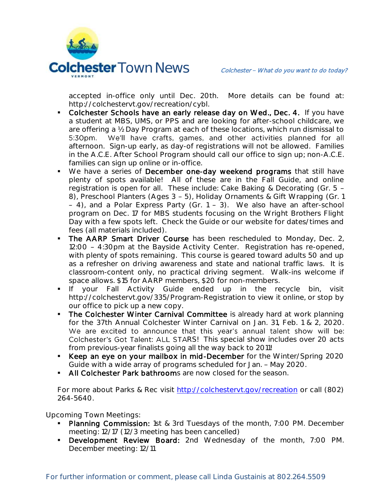

accepted in-office only until Dec. 20th. More details can be found at: http://colchestervt.gov/recreation/cybl.

- Colchester Schools have an early release day on Wed., Dec. 4. If you have a student at MBS, UMS, or PPS and are looking for after-school childcare, we are offering a ½ Day Program at each of these locations, which run dismissal to 5:30pm. We'll have crafts, games, and other activities planned for all afternoon. Sign-up early, as day-of registrations will not be allowed. Families in the A.C.E. After School Program should call our office to sign up; non-A.C.E. families can sign up online or in-office.
- We have a series of December one-day weekend programs that still have plenty of spots available! All of these are in the Fall Guide, and online registration is open for all. These include: Cake Baking & Decorating (Gr. 5 8), Preschool Planters (Ages 3 - 5), Holiday Ornaments & Gift Wrapping (Gr. 1)  $-$  4), and a Polar Express Party (Gr. 1 - 3). We also have an after-school program on Dec. 17 for MBS students focusing on the Wright Brothers Flight Day with a few spots left. Check the Guide or our website for dates/times and fees (all materials included).
- The AARP Smart Driver Course has been rescheduled to Monday, Dec. 2, 12:00 - 4:30pm at the Bayside Activity Center. Registration has re-opened, with plenty of spots remaining. This course is geared toward adults 50 and up as a refresher on driving awareness and state and national traffic laws. It is classroom-content only, no practical driving segment. Walk-ins welcome if space allows. \$15 for AARP members, \$20 for non-members.
- **If** your Fall Activity Guide ended up in the recycle bin, visit http://colchestervt.gov/335/Program-Registration to view it online, or stop by our office to pick up a new copy.
- The Colchester Winter Carnival Committee is already hard at work planning for the 37th Annual Colchester Winter Carnival on Jan. 31, Feb. 1 & 2, 2020. We are excited to announce that this year's annual talent show will be: Colchester's Got Talent: ALL STARS! This special show includes over 20 acts from previous-year finalists going all the way back to 2011!
- Keep an eye on your mailbox in mid-December for the Winter/Spring 2020 Guide with a wide array of programs scheduled for Jan. - May 2020.
- All Colchester Park bathrooms are now closed for the season.

For more about Parks & Rec visit [http://colchestervt.gov/recreation](http://colchestervt.gov/Recreation/parksNRec.shtml) or call (802) 264-5640.

**Upcoming Town Meetings:** 

- Planning Commission: 1st & 3rd Tuesdays of the month, 7:00 PM. December meeting: 12/17 (12/3 meeting has been cancelled)
- Development Review Board: 2nd Wednesday of the month, 7:00 PM. December meeting: 12/11